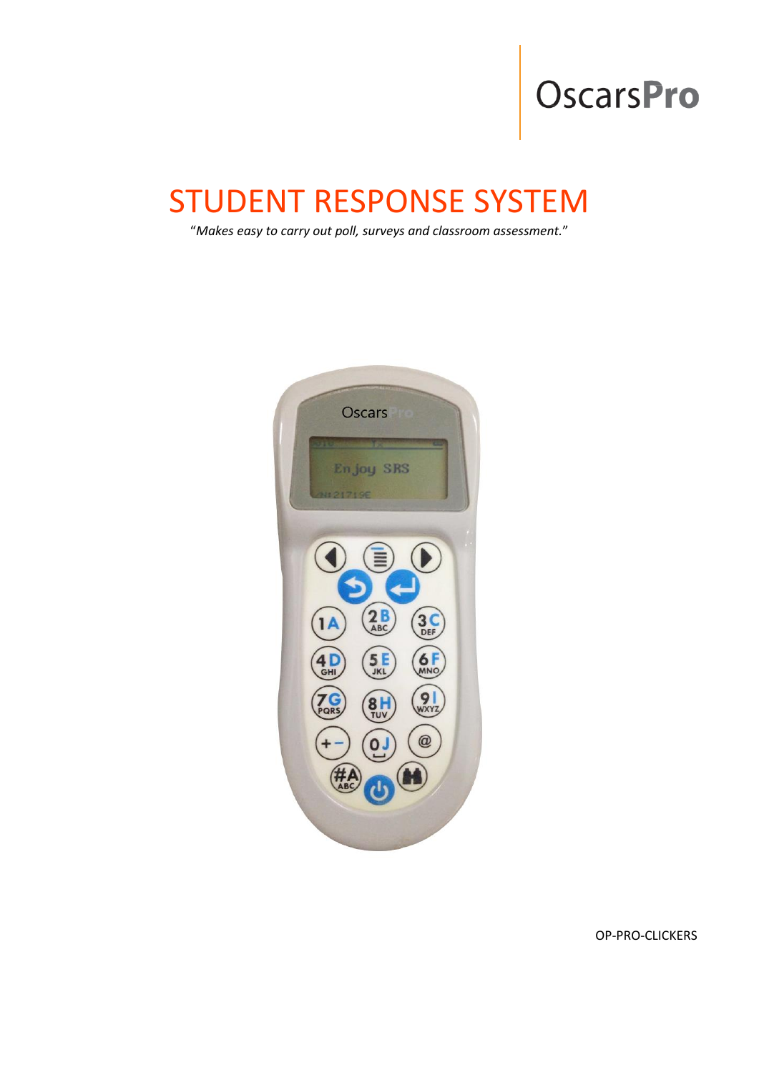# **OscarsPro**

## STUDENT RESPONSE SYSTEM

"*Makes easy to carry out poll, surveys and classroom assessment.*"



OP-PRO-CLICKERS